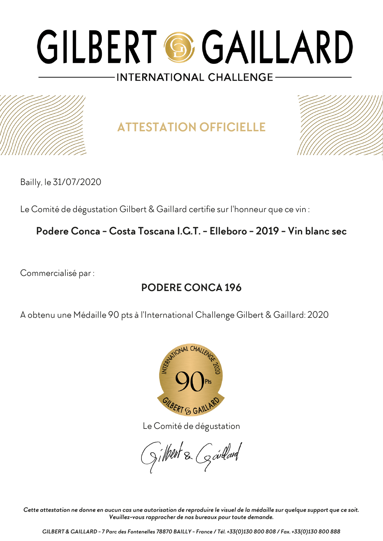**ATTESTATION OFFICIELLE**



Bailly, le 31/07/2020

Le Comité de dégustation Gilbert & Gaillard certifie sur l'honneur que ce vin :

**Podere Conca - Costa Toscana I.G.T. - Elleboro - 2019 - Vin blanc sec**

Commercialisé par :

## **PODERE CONCA 196**

A obtenu une Médaille 90 pts à l'International Challenge Gilbert & Gaillard: 2020



Le Comité de dégustation

gilbert & Goullard

*Cette attestation ne donne en aucun cas une autorisation de reproduire le visuel de la médaille sur quelque support que ce soit. Veuillez-vous rapprocher de nos bureaux pour toute demande.*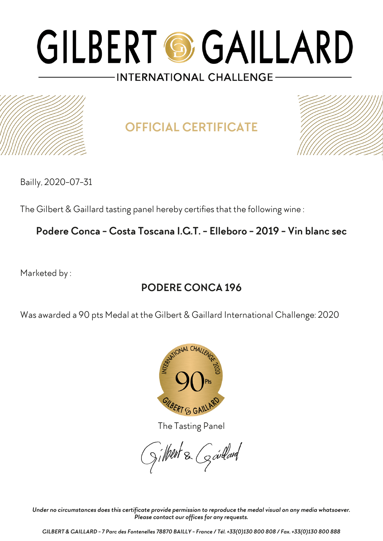

# **OFFICIAL CERTIFICATE**



Bailly, 2020-07-31

The Gilbert & Gaillard tasting panel hereby certifies that the following wine :

### **Podere Conca - Costa Toscana I.G.T. - Elleboro - 2019 - Vin blanc sec**

Marketed by :

## **PODERE CONCA 196**

Was awarded a 90 pts Medal at the Gilbert & Gaillard International Challenge: 2020



The Tasting Panel

gilbert & Goullard

*Under no circumstances does this certificate provide permission to reproduce the medal visual on any media whatsoever. Please contact our offices for any requests.*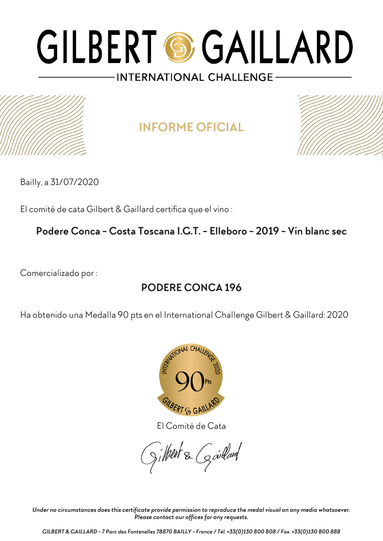## **INFORME OFICIAL**



Bailly, a 31/07/2020

El comité de cata Gilbert & Gaillard certifica que el vino :

### **Podere Conca - Costa Toscana I.G.T. - Elleboro - 2019 - Vin blanc sec**

Comercializado por :

## **PODERE CONCA 196**

Ha obtenido una Medalla 90 pts en el International Challenge Gilbert & Gaillard: 2020



El Comité de Cata

gilbert & Goullard

*Under no circumstances does this certificate provide permission to reproduce the medal visual on any media whatsoever. Please contact our offices for any requests.*